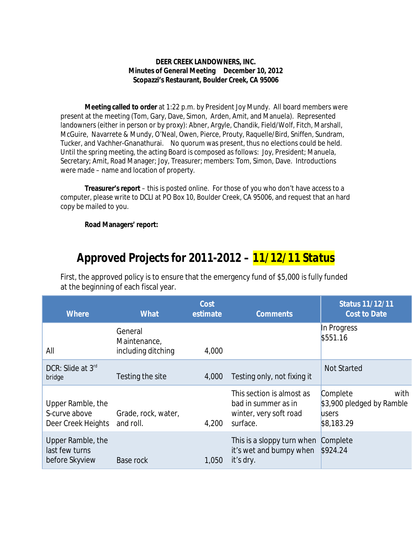## **DEER CREEK LANDOWNERS, INC. Minutes of General Meeting December 10, 2012 Scopazzi's Restaurant, Boulder Creek, CA 95006**

**Meeting called to order** at 1:22 p.m. by President Joy Mundy. All board members were present at the meeting (Tom, Gary, Dave, Simon, Arden, Amit, and Manuela). Represented landowners (either in person or by proxy): Abner, Argyle, Chandik, Field/Wolf, Fitch, Marshall, McGuire, Navarrete & Mundy, O'Neal, Owen, Pierce, Prouty, Raquelle/Bird, Sniffen, Sundram, Tucker, and Vachher-Gnanathurai. No quorum was present, thus no elections could be held. Until the spring meeting, the acting Board is composed as follows: Joy, President; Manuela, Secretary; Amit, Road Manager; Joy, Treasurer; members: Tom, Simon, Dave. Introductions were made – name and location of property.

**Treasurer's report** – this is posted online. For those of you who don't have access to a computer, please write to DCLI at PO Box 10, Boulder Creek, CA 95006, and request that an hard copy be mailed to you.

**Road Managers' report:** 

## *Approved Projects for 2011-2012 – 11/12/11 Status*

First, the approved policy is to ensure that the emergency fund of \$5,000 is fully funded at the beginning of each fiscal year.

| <b>Where</b>                                             | <b>What</b>                                   | Cost<br>estimate | <b>Comments</b>                                                                        | <b>Status 11/12/11</b><br><b>Cost to Date</b>                        |
|----------------------------------------------------------|-----------------------------------------------|------------------|----------------------------------------------------------------------------------------|----------------------------------------------------------------------|
| All                                                      | General<br>Maintenance,<br>including ditching | 4,000            |                                                                                        | In Progress<br>\$551.16                                              |
| DCR: Slide at 3rd<br>bridge                              | Testing the site                              | 4,000            | Testing only, not fixing it                                                            | <b>Not Started</b>                                                   |
| Upper Ramble, the<br>S-curve above<br>Deer Creek Heights | Grade, rock, water,<br>and roll.              | 4,200            | This section is almost as<br>bad in summer as in<br>winter, very soft road<br>surface. | with<br>Complete<br>\$3,900 pledged by Ramble<br>users<br>\$8,183.29 |
| Upper Ramble, the<br>last few turns<br>before Skyview    | Base rock                                     | 1,050            | This is a sloppy turn when Complete<br>it's wet and bumpy when<br>it's dry.            | \$924.24                                                             |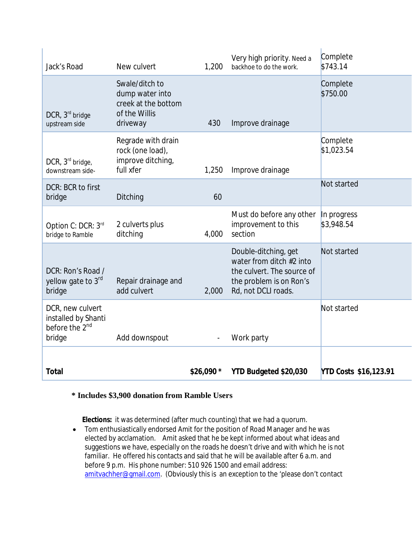| Jack's Road                                                                     | New culvert                                                                           | 1,200      | Very high priority. Need a<br>backhoe to do the work.                                                                            | Complete<br>\$743.14         |
|---------------------------------------------------------------------------------|---------------------------------------------------------------------------------------|------------|----------------------------------------------------------------------------------------------------------------------------------|------------------------------|
| $DCR$ , $3rd$ bridge<br>upstream side                                           | Swale/ditch to<br>dump water into<br>creek at the bottom<br>of the Willis<br>driveway | 430        | Improve drainage                                                                                                                 | Complete<br>\$750.00         |
| DCR, 3 <sup>rd</sup> bridge,<br>downstream side-                                | Regrade with drain<br>rock (one load),<br>improve ditching,<br>full xfer              | 1,250      | Improve drainage                                                                                                                 | Complete<br>\$1,023.54       |
| DCR: BCR to first<br>bridge                                                     | Ditching                                                                              | 60         |                                                                                                                                  | Not started                  |
| Option C: DCR: 3rd<br>bridge to Ramble                                          | 2 culverts plus<br>ditching                                                           | 4,000      | Must do before any other<br>improvement to this<br>section                                                                       | In progress<br>\$3,948.54    |
| DCR: Ron's Road /<br>yellow gate to 3 <sup>rd</sup><br>bridge                   | Repair drainage and<br>add culvert                                                    | 2,000      | Double-ditching, get<br>water from ditch #2 into<br>the culvert. The source of<br>the problem is on Ron's<br>Rd, not DCLI roads. | Not started                  |
| DCR, new culvert<br>installed by Shanti<br>before the 2 <sup>nd</sup><br>bridge | Add downspout                                                                         |            | Work party                                                                                                                       | Not started                  |
| <b>Total</b>                                                                    |                                                                                       | \$26,090 * | YTD Budgeted \$20,030                                                                                                            | <b>YTD Costs \$16,123.91</b> |

## **\* Includes \$3,900 donation from Ramble Users**

 **Elections:** it was determined (after much counting) that we had a quorum.

 Tom enthusiastically endorsed Amit for the position of Road Manager and he was elected by acclamation. Amit asked that he be kept informed about what ideas and suggestions we have, especially on the roads he doesn't drive and with which he is not familiar. He offered his contacts and said that he will be available after 6 a.m. and before 9 p.m. His phone number: 510 926 1500 and email address: [amitvachher@gmail.com.](mailto:amitvachher@gmail.com.) (Obviously this is an exception to the 'please don't contact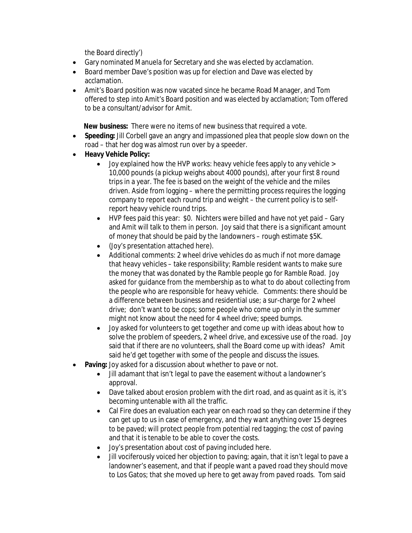the Board directly')

- Gary nominated Manuela for Secretary and she was elected by acclamation.
- Board member Dave's position was up for election and Dave was elected by acclamation.
- Amit's Board position was now vacated since he became Road Manager, and Tom offered to step into Amit's Board position and was elected by acclamation; Tom offered to be a consultant/advisor for Amit.

**New business:** There were no items of new business that required a vote.

- **Speeding:** Jill Corbell gave an angry and impassioned plea that people slow down on the road – that her dog was almost run over by a speeder.
- **Heavy Vehicle Policy:**
	- Joy explained how the HVP works: heavy vehicle fees apply to any vehicle > 10,000 pounds (a pickup weighs about 4000 pounds), after your first 8 round trips in a year. The fee is based on the weight of the vehicle and the miles driven. Aside from logging – where the permitting process requires the logging company to report each round trip and weight – the current policy is to selfreport heavy vehicle round trips.
	- HVP fees paid this year: \$0. Nichters were billed and have not yet paid Gary and Amit will talk to them in person. Joy said that there is a significant amount of money that should be paid by the landowners – rough estimate \$5K.
	- (Joy's presentation attached here).
	- Additional comments: 2 wheel drive vehicles do as much if not more damage that heavy vehicles – take responsibility; Ramble resident wants to make sure the money that was donated by the Ramble people go for Ramble Road. Joy asked for guidance from the membership as to what to do about collecting from the people who are responsible for heavy vehicle. Comments: there should be a difference between business and residential use; a sur-charge for 2 wheel drive; don't want to be cops; some people who come up only in the summer might not know about the need for 4 wheel drive; speed bumps.
	- Joy asked for volunteers to get together and come up with ideas about how to solve the problem of speeders, 2 wheel drive, and excessive use of the road. Joy said that if there are no volunteers, shall the Board come up with ideas? Amit said he'd get together with some of the people and discuss the issues.
- **Paving:** Joy asked for a discussion about whether to pave or not.
	- Jill adamant that isn't legal to pave the easement without a landowner's approval.
	- Dave talked about erosion problem with the dirt road, and as quaint as it is, it's becoming untenable with all the traffic.
	- Cal Fire does an evaluation each year on each road so they can determine if they can get up to us in case of emergency, and they want anything over 15 degrees to be paved; will protect people from potential red tagging; the cost of paving and that it is tenable to be able to cover the costs.
	- Joy's presentation about cost of paving included here.
	- Jill vociferously voiced her objection to paving; again, that it isn't legal to pave a landowner's easement, and that if people want a paved road they should move to Los Gatos; that she moved up here to get away from paved roads. Tom said